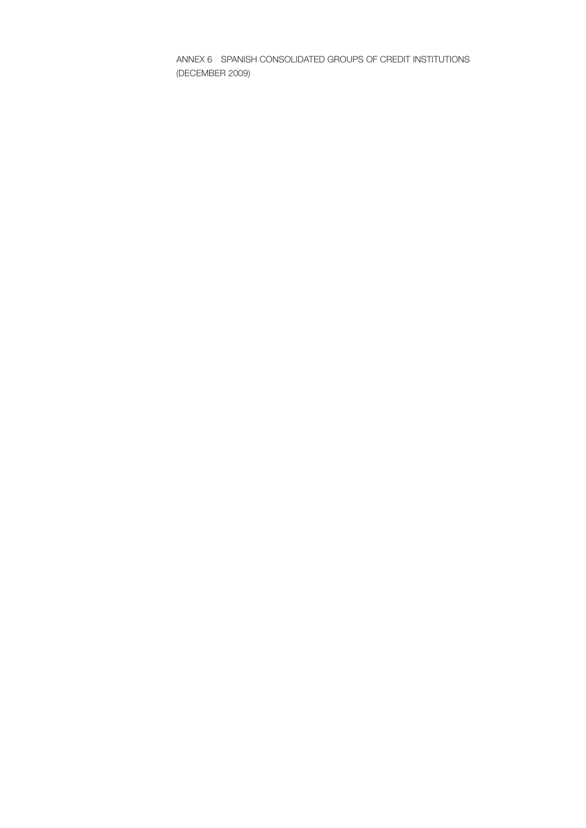ANNEX 6 SPANISH CONSOLIDATED GROUPS OF CREDIT INSTITUTIONS (DECEMBER 2009)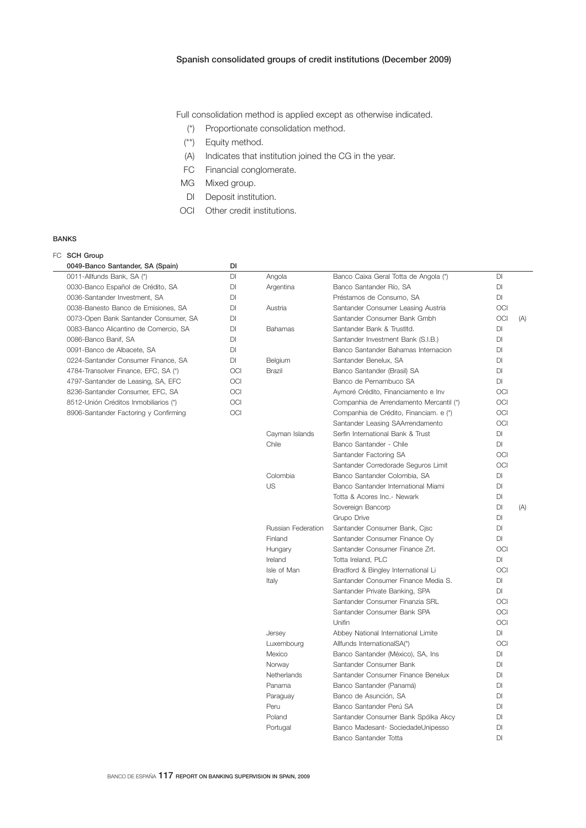Full consolidation method is applied except as otherwise indicated.

- (\*) Proportionate consolidation method.
- (\*\*) Equity method.
- (A) Indicates that institution joined the CG in the year.
- FC Financial conglomerate.
- MG Mixed group.
- DI Deposit institution.
- OCI Other credit institutions.

## BANKS

| DI<br>0049-Banco Santander, SA (Spain)<br><b>DI</b><br>Banco Caixa Geral Totta de Angola (*)<br><b>DI</b><br>0011-Allfunds Bank, SA (*)<br>Angola<br>0030-Banco Español de Crédito, SA<br>DI<br>Banco Santander Río, SA<br><b>DI</b><br>Argentina<br><b>DI</b><br>0036-Santander Investment, SA<br>DI<br>Préstamos de Consumo, SA<br><b>OCI</b><br>0038-Banesto Banco de Emisiones, SA<br><b>DI</b><br>Austria<br>Santander Consumer Leasing Austria<br>OCI<br>0073-Open Bank Santander Consumer, SA<br><b>DI</b><br>Santander Consumer Bank Gmbh<br>(A)<br>0083-Banco Alicantino de Comercio, SA<br>DI<br><b>Bahamas</b><br>Santander Bank & Trustltd.<br>DI<br>DI<br>0086-Banco Banif, SA<br><b>DI</b><br>Santander Investment Bank (S.I.B.)<br>0091-Banco de Albacete, SA<br>DI<br>Banco Santander Bahamas Internacion<br>DI<br>Santander Benelux, SA<br>DI<br>0224-Santander Consumer Finance, SA<br>DI<br>Belgium<br><b>DI</b><br>4784-Transolver Finance, EFC, SA (*)<br>OCI<br><b>Brazil</b><br>Banco Santander (Brasil) SA<br>Banco de Pernambuco SA<br><b>DI</b><br>4797-Santander de Leasing, SA, EFC<br>OCI<br><b>OCI</b><br>8236-Santander Consumer, EFC, SA<br>OCI<br>Aymoré Crédito, Financiamento e Inv<br>OCI<br>OCI<br>8512-Unión Créditos Inmobiliarios (*)<br>Companhia de Arrendamento Mercantil (*)<br>8906-Santander Factoring y Confirming<br>OCI<br><b>OCI</b><br>Companhia de Crédito, Financiam. e (*)<br><b>OCI</b><br>Santander Leasing SAArrendamento<br>Serfin International Bank & Trust<br><b>DI</b><br>Cayman Islands<br>Chile<br>Banco Santander - Chile<br><b>DI</b><br><b>OCI</b><br>Santander Factoring SA<br>Santander Corredorade Seguros Limit<br><b>OCI</b><br>DI<br>Colombia<br>Banco Santander Colombia, SA<br>US<br>Banco Santander International Miami<br>DI<br>Totta & Acores Inc.- Newark<br>DI<br>Sovereign Bancorp<br>DI<br>(A)<br><b>DI</b><br>Grupo Drive<br><b>DI</b><br>Russian Federation<br>Santander Consumer Bank, Cjsc<br>Santander Consumer Finance Oy<br><b>DI</b><br>Finland<br><b>OCI</b><br>Hungary<br>Santander Consumer Finance Zrt.<br>Totta Ireland, PLC<br>Ireland<br><b>DI</b><br><b>OCI</b><br>Isle of Man<br>Bradford & Bingley International Li<br>Santander Consumer Finance Media S.<br><b>DI</b><br>Italy<br>Santander Private Banking, SPA<br><b>DI</b><br>Santander Consumer Finanzia SRL<br>OCI<br><b>OCI</b><br>Santander Consumer Bank SPA<br>Unifin<br><b>OCI</b><br><b>DI</b><br>Jersey<br>Abbey National International Limite<br><b>OCI</b><br>Luxembourg<br>Allfunds InternationalSA(*)<br><b>DI</b><br>Mexico<br>Banco Santander (México), SA, Ins<br>DI<br>Santander Consumer Bank<br>Norway<br>Santander Consumer Finance Benelux<br>DI<br>Netherlands<br>Panama<br>Banco Santander (Panamá)<br><b>DI</b><br>Banco de Asunción, SA<br>DI<br>Paraguay<br><b>DI</b><br>Peru<br>Banco Santander Perú SA<br>Poland<br>DI<br>Santander Consumer Bank Spólka Akcy<br>Banco Madesant- SociedadeUnipesso<br>DI<br>Portugal |  | FC SCH Group |  |                       |    |  |
|-----------------------------------------------------------------------------------------------------------------------------------------------------------------------------------------------------------------------------------------------------------------------------------------------------------------------------------------------------------------------------------------------------------------------------------------------------------------------------------------------------------------------------------------------------------------------------------------------------------------------------------------------------------------------------------------------------------------------------------------------------------------------------------------------------------------------------------------------------------------------------------------------------------------------------------------------------------------------------------------------------------------------------------------------------------------------------------------------------------------------------------------------------------------------------------------------------------------------------------------------------------------------------------------------------------------------------------------------------------------------------------------------------------------------------------------------------------------------------------------------------------------------------------------------------------------------------------------------------------------------------------------------------------------------------------------------------------------------------------------------------------------------------------------------------------------------------------------------------------------------------------------------------------------------------------------------------------------------------------------------------------------------------------------------------------------------------------------------------------------------------------------------------------------------------------------------------------------------------------------------------------------------------------------------------------------------------------------------------------------------------------------------------------------------------------------------------------------------------------------------------------------------------------------------------------------------------------------------------------------------------------------------------------------------------------------------------------------------------------------------------------------------------------------------------------------------------------------------------------------------------------------------------------------------------------------------------------------------------------------------------------|--|--------------|--|-----------------------|----|--|
|                                                                                                                                                                                                                                                                                                                                                                                                                                                                                                                                                                                                                                                                                                                                                                                                                                                                                                                                                                                                                                                                                                                                                                                                                                                                                                                                                                                                                                                                                                                                                                                                                                                                                                                                                                                                                                                                                                                                                                                                                                                                                                                                                                                                                                                                                                                                                                                                                                                                                                                                                                                                                                                                                                                                                                                                                                                                                                                                                                                                           |  |              |  |                       |    |  |
|                                                                                                                                                                                                                                                                                                                                                                                                                                                                                                                                                                                                                                                                                                                                                                                                                                                                                                                                                                                                                                                                                                                                                                                                                                                                                                                                                                                                                                                                                                                                                                                                                                                                                                                                                                                                                                                                                                                                                                                                                                                                                                                                                                                                                                                                                                                                                                                                                                                                                                                                                                                                                                                                                                                                                                                                                                                                                                                                                                                                           |  |              |  |                       |    |  |
|                                                                                                                                                                                                                                                                                                                                                                                                                                                                                                                                                                                                                                                                                                                                                                                                                                                                                                                                                                                                                                                                                                                                                                                                                                                                                                                                                                                                                                                                                                                                                                                                                                                                                                                                                                                                                                                                                                                                                                                                                                                                                                                                                                                                                                                                                                                                                                                                                                                                                                                                                                                                                                                                                                                                                                                                                                                                                                                                                                                                           |  |              |  |                       |    |  |
|                                                                                                                                                                                                                                                                                                                                                                                                                                                                                                                                                                                                                                                                                                                                                                                                                                                                                                                                                                                                                                                                                                                                                                                                                                                                                                                                                                                                                                                                                                                                                                                                                                                                                                                                                                                                                                                                                                                                                                                                                                                                                                                                                                                                                                                                                                                                                                                                                                                                                                                                                                                                                                                                                                                                                                                                                                                                                                                                                                                                           |  |              |  |                       |    |  |
|                                                                                                                                                                                                                                                                                                                                                                                                                                                                                                                                                                                                                                                                                                                                                                                                                                                                                                                                                                                                                                                                                                                                                                                                                                                                                                                                                                                                                                                                                                                                                                                                                                                                                                                                                                                                                                                                                                                                                                                                                                                                                                                                                                                                                                                                                                                                                                                                                                                                                                                                                                                                                                                                                                                                                                                                                                                                                                                                                                                                           |  |              |  |                       |    |  |
|                                                                                                                                                                                                                                                                                                                                                                                                                                                                                                                                                                                                                                                                                                                                                                                                                                                                                                                                                                                                                                                                                                                                                                                                                                                                                                                                                                                                                                                                                                                                                                                                                                                                                                                                                                                                                                                                                                                                                                                                                                                                                                                                                                                                                                                                                                                                                                                                                                                                                                                                                                                                                                                                                                                                                                                                                                                                                                                                                                                                           |  |              |  |                       |    |  |
|                                                                                                                                                                                                                                                                                                                                                                                                                                                                                                                                                                                                                                                                                                                                                                                                                                                                                                                                                                                                                                                                                                                                                                                                                                                                                                                                                                                                                                                                                                                                                                                                                                                                                                                                                                                                                                                                                                                                                                                                                                                                                                                                                                                                                                                                                                                                                                                                                                                                                                                                                                                                                                                                                                                                                                                                                                                                                                                                                                                                           |  |              |  |                       |    |  |
|                                                                                                                                                                                                                                                                                                                                                                                                                                                                                                                                                                                                                                                                                                                                                                                                                                                                                                                                                                                                                                                                                                                                                                                                                                                                                                                                                                                                                                                                                                                                                                                                                                                                                                                                                                                                                                                                                                                                                                                                                                                                                                                                                                                                                                                                                                                                                                                                                                                                                                                                                                                                                                                                                                                                                                                                                                                                                                                                                                                                           |  |              |  |                       |    |  |
|                                                                                                                                                                                                                                                                                                                                                                                                                                                                                                                                                                                                                                                                                                                                                                                                                                                                                                                                                                                                                                                                                                                                                                                                                                                                                                                                                                                                                                                                                                                                                                                                                                                                                                                                                                                                                                                                                                                                                                                                                                                                                                                                                                                                                                                                                                                                                                                                                                                                                                                                                                                                                                                                                                                                                                                                                                                                                                                                                                                                           |  |              |  |                       |    |  |
|                                                                                                                                                                                                                                                                                                                                                                                                                                                                                                                                                                                                                                                                                                                                                                                                                                                                                                                                                                                                                                                                                                                                                                                                                                                                                                                                                                                                                                                                                                                                                                                                                                                                                                                                                                                                                                                                                                                                                                                                                                                                                                                                                                                                                                                                                                                                                                                                                                                                                                                                                                                                                                                                                                                                                                                                                                                                                                                                                                                                           |  |              |  |                       |    |  |
|                                                                                                                                                                                                                                                                                                                                                                                                                                                                                                                                                                                                                                                                                                                                                                                                                                                                                                                                                                                                                                                                                                                                                                                                                                                                                                                                                                                                                                                                                                                                                                                                                                                                                                                                                                                                                                                                                                                                                                                                                                                                                                                                                                                                                                                                                                                                                                                                                                                                                                                                                                                                                                                                                                                                                                                                                                                                                                                                                                                                           |  |              |  |                       |    |  |
|                                                                                                                                                                                                                                                                                                                                                                                                                                                                                                                                                                                                                                                                                                                                                                                                                                                                                                                                                                                                                                                                                                                                                                                                                                                                                                                                                                                                                                                                                                                                                                                                                                                                                                                                                                                                                                                                                                                                                                                                                                                                                                                                                                                                                                                                                                                                                                                                                                                                                                                                                                                                                                                                                                                                                                                                                                                                                                                                                                                                           |  |              |  |                       |    |  |
|                                                                                                                                                                                                                                                                                                                                                                                                                                                                                                                                                                                                                                                                                                                                                                                                                                                                                                                                                                                                                                                                                                                                                                                                                                                                                                                                                                                                                                                                                                                                                                                                                                                                                                                                                                                                                                                                                                                                                                                                                                                                                                                                                                                                                                                                                                                                                                                                                                                                                                                                                                                                                                                                                                                                                                                                                                                                                                                                                                                                           |  |              |  |                       |    |  |
|                                                                                                                                                                                                                                                                                                                                                                                                                                                                                                                                                                                                                                                                                                                                                                                                                                                                                                                                                                                                                                                                                                                                                                                                                                                                                                                                                                                                                                                                                                                                                                                                                                                                                                                                                                                                                                                                                                                                                                                                                                                                                                                                                                                                                                                                                                                                                                                                                                                                                                                                                                                                                                                                                                                                                                                                                                                                                                                                                                                                           |  |              |  |                       |    |  |
|                                                                                                                                                                                                                                                                                                                                                                                                                                                                                                                                                                                                                                                                                                                                                                                                                                                                                                                                                                                                                                                                                                                                                                                                                                                                                                                                                                                                                                                                                                                                                                                                                                                                                                                                                                                                                                                                                                                                                                                                                                                                                                                                                                                                                                                                                                                                                                                                                                                                                                                                                                                                                                                                                                                                                                                                                                                                                                                                                                                                           |  |              |  |                       |    |  |
|                                                                                                                                                                                                                                                                                                                                                                                                                                                                                                                                                                                                                                                                                                                                                                                                                                                                                                                                                                                                                                                                                                                                                                                                                                                                                                                                                                                                                                                                                                                                                                                                                                                                                                                                                                                                                                                                                                                                                                                                                                                                                                                                                                                                                                                                                                                                                                                                                                                                                                                                                                                                                                                                                                                                                                                                                                                                                                                                                                                                           |  |              |  |                       |    |  |
|                                                                                                                                                                                                                                                                                                                                                                                                                                                                                                                                                                                                                                                                                                                                                                                                                                                                                                                                                                                                                                                                                                                                                                                                                                                                                                                                                                                                                                                                                                                                                                                                                                                                                                                                                                                                                                                                                                                                                                                                                                                                                                                                                                                                                                                                                                                                                                                                                                                                                                                                                                                                                                                                                                                                                                                                                                                                                                                                                                                                           |  |              |  |                       |    |  |
|                                                                                                                                                                                                                                                                                                                                                                                                                                                                                                                                                                                                                                                                                                                                                                                                                                                                                                                                                                                                                                                                                                                                                                                                                                                                                                                                                                                                                                                                                                                                                                                                                                                                                                                                                                                                                                                                                                                                                                                                                                                                                                                                                                                                                                                                                                                                                                                                                                                                                                                                                                                                                                                                                                                                                                                                                                                                                                                                                                                                           |  |              |  |                       |    |  |
|                                                                                                                                                                                                                                                                                                                                                                                                                                                                                                                                                                                                                                                                                                                                                                                                                                                                                                                                                                                                                                                                                                                                                                                                                                                                                                                                                                                                                                                                                                                                                                                                                                                                                                                                                                                                                                                                                                                                                                                                                                                                                                                                                                                                                                                                                                                                                                                                                                                                                                                                                                                                                                                                                                                                                                                                                                                                                                                                                                                                           |  |              |  |                       |    |  |
|                                                                                                                                                                                                                                                                                                                                                                                                                                                                                                                                                                                                                                                                                                                                                                                                                                                                                                                                                                                                                                                                                                                                                                                                                                                                                                                                                                                                                                                                                                                                                                                                                                                                                                                                                                                                                                                                                                                                                                                                                                                                                                                                                                                                                                                                                                                                                                                                                                                                                                                                                                                                                                                                                                                                                                                                                                                                                                                                                                                                           |  |              |  |                       |    |  |
|                                                                                                                                                                                                                                                                                                                                                                                                                                                                                                                                                                                                                                                                                                                                                                                                                                                                                                                                                                                                                                                                                                                                                                                                                                                                                                                                                                                                                                                                                                                                                                                                                                                                                                                                                                                                                                                                                                                                                                                                                                                                                                                                                                                                                                                                                                                                                                                                                                                                                                                                                                                                                                                                                                                                                                                                                                                                                                                                                                                                           |  |              |  |                       |    |  |
|                                                                                                                                                                                                                                                                                                                                                                                                                                                                                                                                                                                                                                                                                                                                                                                                                                                                                                                                                                                                                                                                                                                                                                                                                                                                                                                                                                                                                                                                                                                                                                                                                                                                                                                                                                                                                                                                                                                                                                                                                                                                                                                                                                                                                                                                                                                                                                                                                                                                                                                                                                                                                                                                                                                                                                                                                                                                                                                                                                                                           |  |              |  |                       |    |  |
|                                                                                                                                                                                                                                                                                                                                                                                                                                                                                                                                                                                                                                                                                                                                                                                                                                                                                                                                                                                                                                                                                                                                                                                                                                                                                                                                                                                                                                                                                                                                                                                                                                                                                                                                                                                                                                                                                                                                                                                                                                                                                                                                                                                                                                                                                                                                                                                                                                                                                                                                                                                                                                                                                                                                                                                                                                                                                                                                                                                                           |  |              |  |                       |    |  |
|                                                                                                                                                                                                                                                                                                                                                                                                                                                                                                                                                                                                                                                                                                                                                                                                                                                                                                                                                                                                                                                                                                                                                                                                                                                                                                                                                                                                                                                                                                                                                                                                                                                                                                                                                                                                                                                                                                                                                                                                                                                                                                                                                                                                                                                                                                                                                                                                                                                                                                                                                                                                                                                                                                                                                                                                                                                                                                                                                                                                           |  |              |  |                       |    |  |
|                                                                                                                                                                                                                                                                                                                                                                                                                                                                                                                                                                                                                                                                                                                                                                                                                                                                                                                                                                                                                                                                                                                                                                                                                                                                                                                                                                                                                                                                                                                                                                                                                                                                                                                                                                                                                                                                                                                                                                                                                                                                                                                                                                                                                                                                                                                                                                                                                                                                                                                                                                                                                                                                                                                                                                                                                                                                                                                                                                                                           |  |              |  |                       |    |  |
|                                                                                                                                                                                                                                                                                                                                                                                                                                                                                                                                                                                                                                                                                                                                                                                                                                                                                                                                                                                                                                                                                                                                                                                                                                                                                                                                                                                                                                                                                                                                                                                                                                                                                                                                                                                                                                                                                                                                                                                                                                                                                                                                                                                                                                                                                                                                                                                                                                                                                                                                                                                                                                                                                                                                                                                                                                                                                                                                                                                                           |  |              |  |                       |    |  |
|                                                                                                                                                                                                                                                                                                                                                                                                                                                                                                                                                                                                                                                                                                                                                                                                                                                                                                                                                                                                                                                                                                                                                                                                                                                                                                                                                                                                                                                                                                                                                                                                                                                                                                                                                                                                                                                                                                                                                                                                                                                                                                                                                                                                                                                                                                                                                                                                                                                                                                                                                                                                                                                                                                                                                                                                                                                                                                                                                                                                           |  |              |  |                       |    |  |
|                                                                                                                                                                                                                                                                                                                                                                                                                                                                                                                                                                                                                                                                                                                                                                                                                                                                                                                                                                                                                                                                                                                                                                                                                                                                                                                                                                                                                                                                                                                                                                                                                                                                                                                                                                                                                                                                                                                                                                                                                                                                                                                                                                                                                                                                                                                                                                                                                                                                                                                                                                                                                                                                                                                                                                                                                                                                                                                                                                                                           |  |              |  |                       |    |  |
|                                                                                                                                                                                                                                                                                                                                                                                                                                                                                                                                                                                                                                                                                                                                                                                                                                                                                                                                                                                                                                                                                                                                                                                                                                                                                                                                                                                                                                                                                                                                                                                                                                                                                                                                                                                                                                                                                                                                                                                                                                                                                                                                                                                                                                                                                                                                                                                                                                                                                                                                                                                                                                                                                                                                                                                                                                                                                                                                                                                                           |  |              |  |                       |    |  |
|                                                                                                                                                                                                                                                                                                                                                                                                                                                                                                                                                                                                                                                                                                                                                                                                                                                                                                                                                                                                                                                                                                                                                                                                                                                                                                                                                                                                                                                                                                                                                                                                                                                                                                                                                                                                                                                                                                                                                                                                                                                                                                                                                                                                                                                                                                                                                                                                                                                                                                                                                                                                                                                                                                                                                                                                                                                                                                                                                                                                           |  |              |  |                       |    |  |
|                                                                                                                                                                                                                                                                                                                                                                                                                                                                                                                                                                                                                                                                                                                                                                                                                                                                                                                                                                                                                                                                                                                                                                                                                                                                                                                                                                                                                                                                                                                                                                                                                                                                                                                                                                                                                                                                                                                                                                                                                                                                                                                                                                                                                                                                                                                                                                                                                                                                                                                                                                                                                                                                                                                                                                                                                                                                                                                                                                                                           |  |              |  |                       |    |  |
|                                                                                                                                                                                                                                                                                                                                                                                                                                                                                                                                                                                                                                                                                                                                                                                                                                                                                                                                                                                                                                                                                                                                                                                                                                                                                                                                                                                                                                                                                                                                                                                                                                                                                                                                                                                                                                                                                                                                                                                                                                                                                                                                                                                                                                                                                                                                                                                                                                                                                                                                                                                                                                                                                                                                                                                                                                                                                                                                                                                                           |  |              |  |                       |    |  |
|                                                                                                                                                                                                                                                                                                                                                                                                                                                                                                                                                                                                                                                                                                                                                                                                                                                                                                                                                                                                                                                                                                                                                                                                                                                                                                                                                                                                                                                                                                                                                                                                                                                                                                                                                                                                                                                                                                                                                                                                                                                                                                                                                                                                                                                                                                                                                                                                                                                                                                                                                                                                                                                                                                                                                                                                                                                                                                                                                                                                           |  |              |  |                       |    |  |
|                                                                                                                                                                                                                                                                                                                                                                                                                                                                                                                                                                                                                                                                                                                                                                                                                                                                                                                                                                                                                                                                                                                                                                                                                                                                                                                                                                                                                                                                                                                                                                                                                                                                                                                                                                                                                                                                                                                                                                                                                                                                                                                                                                                                                                                                                                                                                                                                                                                                                                                                                                                                                                                                                                                                                                                                                                                                                                                                                                                                           |  |              |  |                       |    |  |
|                                                                                                                                                                                                                                                                                                                                                                                                                                                                                                                                                                                                                                                                                                                                                                                                                                                                                                                                                                                                                                                                                                                                                                                                                                                                                                                                                                                                                                                                                                                                                                                                                                                                                                                                                                                                                                                                                                                                                                                                                                                                                                                                                                                                                                                                                                                                                                                                                                                                                                                                                                                                                                                                                                                                                                                                                                                                                                                                                                                                           |  |              |  |                       |    |  |
|                                                                                                                                                                                                                                                                                                                                                                                                                                                                                                                                                                                                                                                                                                                                                                                                                                                                                                                                                                                                                                                                                                                                                                                                                                                                                                                                                                                                                                                                                                                                                                                                                                                                                                                                                                                                                                                                                                                                                                                                                                                                                                                                                                                                                                                                                                                                                                                                                                                                                                                                                                                                                                                                                                                                                                                                                                                                                                                                                                                                           |  |              |  |                       |    |  |
|                                                                                                                                                                                                                                                                                                                                                                                                                                                                                                                                                                                                                                                                                                                                                                                                                                                                                                                                                                                                                                                                                                                                                                                                                                                                                                                                                                                                                                                                                                                                                                                                                                                                                                                                                                                                                                                                                                                                                                                                                                                                                                                                                                                                                                                                                                                                                                                                                                                                                                                                                                                                                                                                                                                                                                                                                                                                                                                                                                                                           |  |              |  |                       |    |  |
|                                                                                                                                                                                                                                                                                                                                                                                                                                                                                                                                                                                                                                                                                                                                                                                                                                                                                                                                                                                                                                                                                                                                                                                                                                                                                                                                                                                                                                                                                                                                                                                                                                                                                                                                                                                                                                                                                                                                                                                                                                                                                                                                                                                                                                                                                                                                                                                                                                                                                                                                                                                                                                                                                                                                                                                                                                                                                                                                                                                                           |  |              |  |                       |    |  |
|                                                                                                                                                                                                                                                                                                                                                                                                                                                                                                                                                                                                                                                                                                                                                                                                                                                                                                                                                                                                                                                                                                                                                                                                                                                                                                                                                                                                                                                                                                                                                                                                                                                                                                                                                                                                                                                                                                                                                                                                                                                                                                                                                                                                                                                                                                                                                                                                                                                                                                                                                                                                                                                                                                                                                                                                                                                                                                                                                                                                           |  |              |  |                       |    |  |
|                                                                                                                                                                                                                                                                                                                                                                                                                                                                                                                                                                                                                                                                                                                                                                                                                                                                                                                                                                                                                                                                                                                                                                                                                                                                                                                                                                                                                                                                                                                                                                                                                                                                                                                                                                                                                                                                                                                                                                                                                                                                                                                                                                                                                                                                                                                                                                                                                                                                                                                                                                                                                                                                                                                                                                                                                                                                                                                                                                                                           |  |              |  |                       |    |  |
|                                                                                                                                                                                                                                                                                                                                                                                                                                                                                                                                                                                                                                                                                                                                                                                                                                                                                                                                                                                                                                                                                                                                                                                                                                                                                                                                                                                                                                                                                                                                                                                                                                                                                                                                                                                                                                                                                                                                                                                                                                                                                                                                                                                                                                                                                                                                                                                                                                                                                                                                                                                                                                                                                                                                                                                                                                                                                                                                                                                                           |  |              |  |                       |    |  |
|                                                                                                                                                                                                                                                                                                                                                                                                                                                                                                                                                                                                                                                                                                                                                                                                                                                                                                                                                                                                                                                                                                                                                                                                                                                                                                                                                                                                                                                                                                                                                                                                                                                                                                                                                                                                                                                                                                                                                                                                                                                                                                                                                                                                                                                                                                                                                                                                                                                                                                                                                                                                                                                                                                                                                                                                                                                                                                                                                                                                           |  |              |  |                       |    |  |
|                                                                                                                                                                                                                                                                                                                                                                                                                                                                                                                                                                                                                                                                                                                                                                                                                                                                                                                                                                                                                                                                                                                                                                                                                                                                                                                                                                                                                                                                                                                                                                                                                                                                                                                                                                                                                                                                                                                                                                                                                                                                                                                                                                                                                                                                                                                                                                                                                                                                                                                                                                                                                                                                                                                                                                                                                                                                                                                                                                                                           |  |              |  |                       |    |  |
|                                                                                                                                                                                                                                                                                                                                                                                                                                                                                                                                                                                                                                                                                                                                                                                                                                                                                                                                                                                                                                                                                                                                                                                                                                                                                                                                                                                                                                                                                                                                                                                                                                                                                                                                                                                                                                                                                                                                                                                                                                                                                                                                                                                                                                                                                                                                                                                                                                                                                                                                                                                                                                                                                                                                                                                                                                                                                                                                                                                                           |  |              |  |                       |    |  |
|                                                                                                                                                                                                                                                                                                                                                                                                                                                                                                                                                                                                                                                                                                                                                                                                                                                                                                                                                                                                                                                                                                                                                                                                                                                                                                                                                                                                                                                                                                                                                                                                                                                                                                                                                                                                                                                                                                                                                                                                                                                                                                                                                                                                                                                                                                                                                                                                                                                                                                                                                                                                                                                                                                                                                                                                                                                                                                                                                                                                           |  |              |  |                       |    |  |
|                                                                                                                                                                                                                                                                                                                                                                                                                                                                                                                                                                                                                                                                                                                                                                                                                                                                                                                                                                                                                                                                                                                                                                                                                                                                                                                                                                                                                                                                                                                                                                                                                                                                                                                                                                                                                                                                                                                                                                                                                                                                                                                                                                                                                                                                                                                                                                                                                                                                                                                                                                                                                                                                                                                                                                                                                                                                                                                                                                                                           |  |              |  | Banco Santander Totta | DI |  |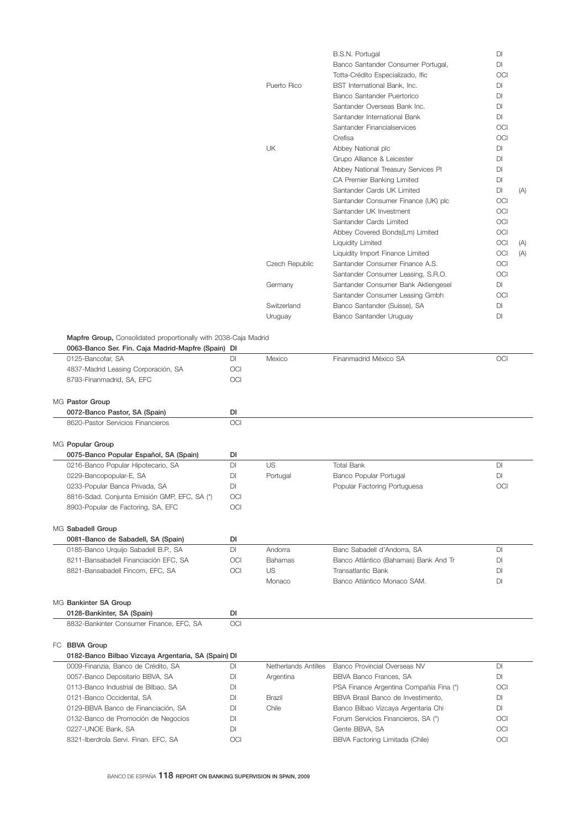|                | B.S.N. Portugal                     | <b>DI</b>  |     |
|----------------|-------------------------------------|------------|-----|
|                | Banco Santander Consumer Portugal,  | DI.        |     |
|                | Totta-Crédito Especializado, Ific   | OCI        |     |
| Puerto Rico    | BST International Bank, Inc.        | <b>DI</b>  |     |
|                | Banco Santander Puertorico          | DI         |     |
|                | Santander Overseas Bank Inc.        | DI.        |     |
|                | Santander International Bank        | DI.        |     |
|                | Santander Financialservices         | OCI        |     |
|                | Crefisa                             | OCI        |     |
| UK             | Abbey National plc                  | DI.        |     |
|                | Grupo Alliance & Leicester          | <b>DI</b>  |     |
|                | Abbey National Treasury Services PI | <b>DI</b>  |     |
|                | CA Premier Banking Limited          | <b>DI</b>  |     |
|                | Santander Cards UK Limited          | DI         | (A) |
|                | Santander Consumer Finance (UK) plc | OCI        |     |
|                | Santander UK Investment             | OCI        |     |
|                | Santander Cards Limited             | OCI        |     |
|                | Abbey Covered Bonds(Lm) Limited     | OCI        |     |
|                | Liquidity Limited                   | <b>OCI</b> | (A) |
|                | Liquidity Import Finance Limited    | <b>OCI</b> | (A) |
| Czech Republic | Santander Consumer Finance A.S.     | OCI        |     |
|                | Santander Consumer Leasing, S.R.O.  | <b>OCI</b> |     |
| Germany        | Santander Consumer Bank Aktiengesel | <b>DI</b>  |     |
|                | Santander Consumer Leasing Gmbh     | OCI        |     |
| Switzerland    | Banco Santander (Suisse), SA        | <b>DI</b>  |     |
| Uruguay        | Banco Santander Uruguay             | <b>DI</b>  |     |
|                |                                     |            |     |

|  |  |  | Mapfre Group, Consolidated proportionally with 2038-Caja Madrid |
|--|--|--|-----------------------------------------------------------------|
|--|--|--|-----------------------------------------------------------------|

| 0063-Banco Ser. Fin. Caja Madrid-Mapfre (Spain) DI  |     |                      |                                         |                        |
|-----------------------------------------------------|-----|----------------------|-----------------------------------------|------------------------|
| 0125-Bancofar, SA                                   | DI  | Mexico               | Finanmadrid México SA                   | OCI                    |
| 4837-Madrid Leasing Corporación, SA                 | OCI |                      |                                         |                        |
| 8793-Finanmadrid, SA, EFC                           | OCI |                      |                                         |                        |
| MG Pastor Group                                     |     |                      |                                         |                        |
| 0072-Banco Pastor, SA (Spain)                       | DI  |                      |                                         |                        |
| 8620-Pastor Servicios Financieros                   | OCI |                      |                                         |                        |
| MG Popular Group                                    |     |                      |                                         |                        |
| 0075-Banco Popular Español, SA (Spain)              | DI  |                      |                                         |                        |
| 0216-Banco Popular Hipotecario, SA                  | DI  | <b>US</b>            | <b>Total Bank</b>                       | <b>DI</b>              |
| 0229-Bancopopular-E, SA                             | DI  | Portugal             | Banco Popular Portugal                  | DI                     |
| 0233-Popular Banca Privada, SA                      | DI  |                      | Popular Factoring Portuguesa            | <b>OCI</b>             |
| 8816-Sdad. Conjunta Emisión GMP, EFC, SA (*)        | OCI |                      |                                         |                        |
| 8903-Popular de Factoring, SA, EFC                  | OCI |                      |                                         |                        |
| MG Sabadell Group                                   |     |                      |                                         |                        |
| 0081-Banco de Sabadell, SA (Spain)                  | DI  |                      |                                         |                        |
| 0185-Banco Urquijo Sabadell B.P., SA                | DI  | Andorra              | Banc Sabadell d'Andorra, SA             | DI                     |
| 8211-Bansabadell Financiación EFC, SA               | OCI | <b>Bahamas</b>       | Banco Atlántico (Bahamas) Bank And Tr   | DI                     |
| 8821-Bansabadell Fincom, EFC, SA                    | OCI | US                   | Transatlantic Bank                      | DI                     |
|                                                     |     | Monaco               | Banco Atlántico Monaco SAM.             | DI                     |
| MG Bankinter SA Group                               |     |                      |                                         |                        |
| 0128-Bankinter, SA (Spain)                          | DI  |                      |                                         |                        |
| 8832-Bankinter Consumer Finance, EFC, SA            | OCI |                      |                                         |                        |
| FC BBVA Group                                       |     |                      |                                         |                        |
| 0182-Banco Bilbao Vizcaya Argentaria, SA (Spain) DI |     |                      |                                         |                        |
| 0009-Finanzia, Banco de Crédito, SA                 | DI  | Netherlands Antilles | Banco Provincial Overseas NV            | $\mathsf{D}\mathsf{I}$ |
| 0057-Banco Depositario BBVA, SA                     | DI  | Argentina            | BBVA Banco Frances, SA                  | DI                     |
| 0113-Banco Industrial de Bilbao, SA                 | DI  |                      | PSA Finance Argentina Compañía Fina (*) | OCI                    |
| 0121-Banco Occidental, SA                           | DI  | Brazil               | BBVA Brasil Banco de Investimento.      | <b>DI</b>              |
| 0129-BBVA Banco de Financiación, SA                 | DI  | Chile                | Banco Bilbao Vizcaya Argentaria Chi     | <b>DI</b>              |
| 0132-Banco de Promoción de Negocios                 | DI  |                      | Forum Servicios Financieros, SA (*)     | OCI                    |
| 0227-UNOE Bank, SA                                  | DI  |                      | Gente BBVA, SA                          | OCI                    |
| 8321-Iberdrola Servi. Finan. EFC, SA                | OCI |                      | BBVA Factoring Limitada (Chile)         | <b>OCI</b>             |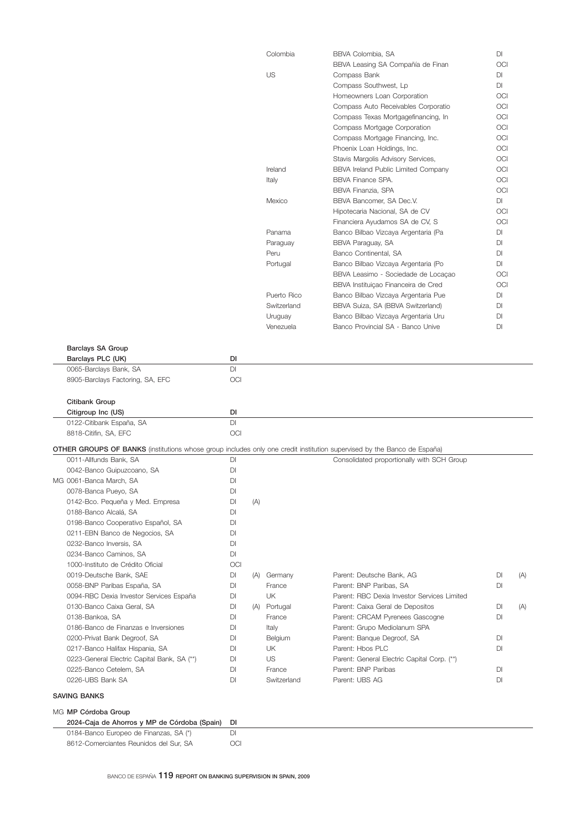|                                                                                                                                |     |     | Colombia             | BBVA Colombia, SA                                                        | DI              |     |
|--------------------------------------------------------------------------------------------------------------------------------|-----|-----|----------------------|--------------------------------------------------------------------------|-----------------|-----|
|                                                                                                                                |     |     |                      | BBVA Leasing SA Compañía de Finan                                        | OCI             |     |
|                                                                                                                                |     |     | <b>US</b>            | Compass Bank                                                             | DI              |     |
|                                                                                                                                |     |     |                      | Compass Southwest, Lp                                                    | <b>DI</b>       |     |
|                                                                                                                                |     |     |                      | Homeowners Loan Corporation                                              | <b>OCI</b>      |     |
|                                                                                                                                |     |     |                      | Compass Auto Receivables Corporatio                                      | OCI             |     |
|                                                                                                                                |     |     |                      | Compass Texas Mortgagefinancing, In                                      | OCI             |     |
|                                                                                                                                |     |     |                      | Compass Mortgage Corporation                                             | OCI             |     |
|                                                                                                                                |     |     |                      | Compass Mortgage Financing, Inc.                                         | OCI             |     |
|                                                                                                                                |     |     |                      | Phoenix Loan Holdings, Inc.                                              | OCI             |     |
|                                                                                                                                |     |     |                      | Stavis Margolis Advisory Services,                                       | OCI             |     |
|                                                                                                                                |     |     | Ireland              | <b>BBVA Ireland Public Limited Company</b>                               | OCI             |     |
|                                                                                                                                |     |     | Italy                | <b>BBVA Finance SPA.</b>                                                 | <b>OCI</b>      |     |
|                                                                                                                                |     |     |                      | BBVA Finanzia, SPA                                                       | OCI             |     |
|                                                                                                                                |     |     | Mexico               | BBVA Bancomer, SA Dec.V.                                                 | <b>DI</b>       |     |
|                                                                                                                                |     |     |                      | Hipotecaria Nacional, SA de CV                                           | OCI             |     |
|                                                                                                                                |     |     |                      | Financiera Ayudamos SA de CV, S                                          | OCI             |     |
|                                                                                                                                |     |     | Panama               | Banco Bilbao Vizcaya Argentaria (Pa                                      | DI              |     |
|                                                                                                                                |     |     | Paraguay             | BBVA Paraguay, SA                                                        | DI              |     |
|                                                                                                                                |     |     | Peru                 | Banco Continental, SA                                                    | DI              |     |
|                                                                                                                                |     |     | Portugal             | Banco Bilbao Vizcaya Argentaria (Po                                      | <b>DI</b>       |     |
|                                                                                                                                |     |     |                      |                                                                          | <b>OCI</b>      |     |
|                                                                                                                                |     |     |                      | BBVA Leasimo - Sociedade de Locaçao                                      | OCI             |     |
|                                                                                                                                |     |     | Puerto Rico          | BBVA Instituiçao Financeira de Cred                                      | DI              |     |
|                                                                                                                                |     |     | Switzerland          | Banco Bilbao Vizcaya Argentaria Pue                                      |                 |     |
|                                                                                                                                |     |     |                      | BBVA Suiza, SA (BBVA Switzerland)<br>Banco Bilbao Vizcaya Argentaria Uru | DI              |     |
|                                                                                                                                |     |     | Uruguay<br>Venezuela | Banco Provincial SA - Banco Unive                                        | DI<br><b>DI</b> |     |
|                                                                                                                                |     |     |                      |                                                                          |                 |     |
| <b>Barclays SA Group</b>                                                                                                       |     |     |                      |                                                                          |                 |     |
| Barclays PLC (UK)                                                                                                              | DI  |     |                      |                                                                          |                 |     |
| 0065-Barclays Bank, SA                                                                                                         | DI  |     |                      |                                                                          |                 |     |
| 8905-Barclays Factoring, SA, EFC                                                                                               | OCI |     |                      |                                                                          |                 |     |
|                                                                                                                                |     |     |                      |                                                                          |                 |     |
| Citibank Group                                                                                                                 |     |     |                      |                                                                          |                 |     |
| Citigroup Inc (US)                                                                                                             | DI  |     |                      |                                                                          |                 |     |
| 0122-Citibank España, SA                                                                                                       | DI  |     |                      |                                                                          |                 |     |
| 8818-Citifin, SA, EFC                                                                                                          | OCI |     |                      |                                                                          |                 |     |
| <b>OTHER GROUPS OF BANKS</b> (institutions whose group includes only one credit institution supervised by the Banco de España) |     |     |                      |                                                                          |                 |     |
| 0011-Allfunds Bank, SA                                                                                                         | DI  |     |                      | Consolidated proportionally with SCH Group                               |                 |     |
| 0042-Banco Guipuzcoano, SA                                                                                                     | DI  |     |                      |                                                                          |                 |     |
| MG 0061-Banca March, SA                                                                                                        | DI  |     |                      |                                                                          |                 |     |
| 0078-Banca Pueyo, SA                                                                                                           | DI  |     |                      |                                                                          |                 |     |
| 0142-Bco. Pequeña y Med. Empresa                                                                                               | DI  | (A) |                      |                                                                          |                 |     |
| 0188-Banco Alcalá, SA                                                                                                          | DI  |     |                      |                                                                          |                 |     |
| 0198-Banco Cooperativo Español, SA                                                                                             | DI  |     |                      |                                                                          |                 |     |
| 0211-EBN Banco de Negocios, SA                                                                                                 | DI  |     |                      |                                                                          |                 |     |
| 0232-Banco Inversis, SA                                                                                                        | DI  |     |                      |                                                                          |                 |     |
| 0234-Banco Caminos, SA                                                                                                         | DI  |     |                      |                                                                          |                 |     |
| 1000-Instituto de Crédito Oficial                                                                                              | OCI |     |                      |                                                                          |                 |     |
|                                                                                                                                |     |     |                      |                                                                          |                 |     |
| 0019-Deutsche Bank, SAE                                                                                                        | DI  |     | (A) Germany          | Parent: Deutsche Bank, AG                                                | DI<br>DI        | (A) |
| 0058-BNP Paribas España, SA                                                                                                    | DI  |     | France               | Parent: BNP Paribas, SA<br>Parent: RBC Dexia Investor Services Limited   |                 |     |
| 0094-RBC Dexia Investor Services España                                                                                        | DI  |     | UK                   |                                                                          |                 |     |
| 0130-Banco Caixa Geral, SA                                                                                                     | DI  |     | (A) Portugal         | Parent: Caixa Geral de Depositos                                         | DI              | (A) |
| 0138-Bankoa, SA                                                                                                                | DI  |     | France               | Parent: CRCAM Pyrenees Gascogne                                          | <b>DI</b>       |     |
| 0186-Banco de Finanzas e Inversiones                                                                                           | DI  |     | Italy                | Parent: Grupo Mediolanum SPA                                             |                 |     |
| 0200-Privat Bank Degroof, SA                                                                                                   | DI  |     | Belgium              | Parent: Banque Degroof, SA                                               | DI              |     |
| 0217-Banco Halifax Hispania, SA                                                                                                | DI  |     | UK                   | Parent: Hbos PLC                                                         | DI              |     |
| 0223-General Electric Capital Bank, SA (**)                                                                                    | DI  |     | US                   | Parent: General Electric Capital Corp. (**)                              |                 |     |
| 0225-Banco Cetelem, SA                                                                                                         | DI  |     | France               | Parent: BNP Paribas                                                      | DI              |     |
| 0226-UBS Bank SA                                                                                                               | DI  |     | Switzerland          | Parent: UBS AG                                                           | DI              |     |
| <b>SAVING BANKS</b>                                                                                                            |     |     |                      |                                                                          |                 |     |
| MG MP Córdoba Group                                                                                                            |     |     |                      |                                                                          |                 |     |
| 2024-Caja de Ahorros y MP de Córdoba (Spain)                                                                                   | DI  |     |                      |                                                                          |                 |     |
| 0184-Banco Europeo de Finanzas, SA (*)                                                                                         | DI  |     |                      |                                                                          |                 |     |
| 8612-Comerciantes Reunidos del Sur, SA                                                                                         | OCI |     |                      |                                                                          |                 |     |
|                                                                                                                                |     |     |                      |                                                                          |                 |     |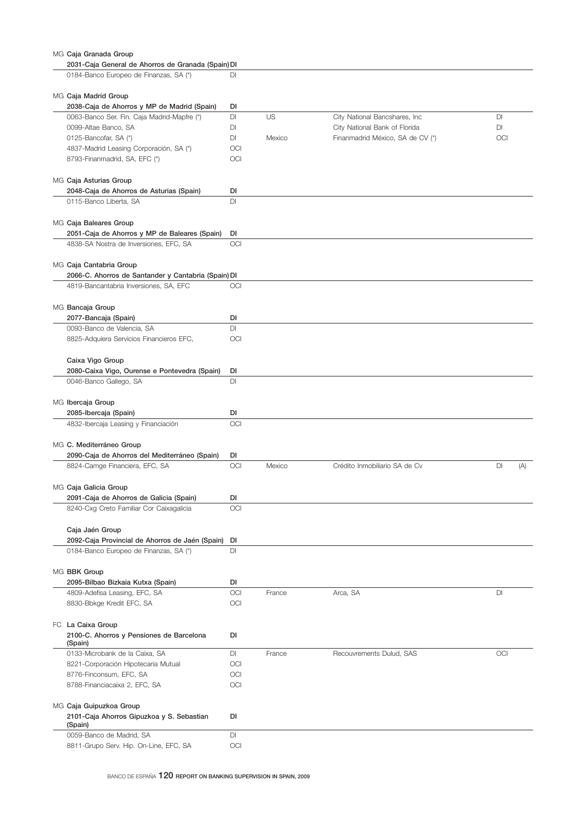| MG Caja Granada Group                               |     |        |                                  |           |
|-----------------------------------------------------|-----|--------|----------------------------------|-----------|
| 2031-Caja General de Ahorros de Granada (Spain) DI  |     |        |                                  |           |
| 0184-Banco Europeo de Finanzas, SA (*)              | DI  |        |                                  |           |
|                                                     |     |        |                                  |           |
| MG Caja Madrid Group                                |     |        |                                  |           |
| 2038-Caja de Ahorros y MP de Madrid (Spain)         | DI  |        |                                  |           |
| 0063-Banco Ser. Fin. Caja Madrid-Mapfre (*)         | DI  | US     | City National Bancshares, Inc    | DI        |
| 0099-Altae Banco, SA                                | DI  |        | City National Bank of Florida    | DI        |
| 0125-Bancofar, SA (*)                               | DI  | Mexico | Finanmadrid México, SA de CV (*) | OCI       |
| 4837-Madrid Leasing Corporación, SA (*)             | OCI |        |                                  |           |
| 8793-Finanmadrid, SA, EFC (*)                       | OCI |        |                                  |           |
|                                                     |     |        |                                  |           |
| MG Caja Asturias Group                              |     |        |                                  |           |
| 2048-Caja de Ahorros de Asturias (Spain)            | DI  |        |                                  |           |
| 0115-Banco Liberta, SA                              | DI  |        |                                  |           |
|                                                     |     |        |                                  |           |
| MG Caja Baleares Group                              |     |        |                                  |           |
| 2051-Caja de Ahorros y MP de Baleares (Spain)       | DI  |        |                                  |           |
| 4838-SA Nostra de Inversiones, EFC, SA              | OCI |        |                                  |           |
|                                                     |     |        |                                  |           |
|                                                     |     |        |                                  |           |
| MG Caja Cantabria Group                             |     |        |                                  |           |
| 2066-C. Ahorros de Santander y Cantabria (Spain) DI |     |        |                                  |           |
| 4819-Bancantabria Inversiones, SA, EFC              | OCI |        |                                  |           |
|                                                     |     |        |                                  |           |
| MG Bancaja Group                                    |     |        |                                  |           |
| 2077-Bancaja (Spain)                                | DI  |        |                                  |           |
| 0093-Banco de Valencia, SA                          | DI  |        |                                  |           |
| 8825-Adquiera Servicios Financieros EFC,            | OCI |        |                                  |           |
|                                                     |     |        |                                  |           |
| Caixa Vigo Group                                    |     |        |                                  |           |
| 2080-Caixa Vigo, Ourense e Pontevedra (Spain)       | DI  |        |                                  |           |
| 0046-Banco Gallego, SA                              | DI  |        |                                  |           |
|                                                     |     |        |                                  |           |
| MG Ibercaja Group                                   |     |        |                                  |           |
| 2085-Ibercaja (Spain)                               | DI  |        |                                  |           |
| 4832-Ibercaja Leasing y Financiación                | OCI |        |                                  |           |
|                                                     |     |        |                                  |           |
| MG C. Mediterráneo Group                            |     |        |                                  |           |
| 2090-Caja de Ahorros del Mediterráneo (Spain)       | DI  |        |                                  |           |
| 8824-Camge Financiera, EFC, SA                      | OCI | Mexico | Crédito Inmobiliario SA de Cv    | DI<br>(A) |
|                                                     |     |        |                                  |           |
| MG Caja Galicia Group                               |     |        |                                  |           |
| 2091-Caja de Ahorros de Galicia (Spain)             | DI  |        |                                  |           |
| 8240-Cxg Creto Familiar Cor Caixagalicia            | OCI |        |                                  |           |
|                                                     |     |        |                                  |           |
|                                                     |     |        |                                  |           |
| Caja Jaén Group                                     |     |        |                                  |           |
| 2092-Caja Provincial de Ahorros de Jaén (Spain)     | DI  |        |                                  |           |
| 0184-Banco Europeo de Finanzas, SA (*)              | DI  |        |                                  |           |
|                                                     |     |        |                                  |           |
| MG BBK Group                                        |     |        |                                  |           |
| 2095-Bilbao Bizkaia Kutxa (Spain)                   | DI  |        |                                  |           |
| 4809-Adefisa Leasing, EFC, SA                       | OCI | France | Arca, SA                         | DI        |
| 8830-Bbkge Kredit EFC, SA                           | OCI |        |                                  |           |
|                                                     |     |        |                                  |           |
| FC La Caixa Group                                   |     |        |                                  |           |
| 2100-C. Ahorros y Pensiones de Barcelona            | DI  |        |                                  |           |
| (Spain)                                             |     |        |                                  |           |
| 0133-Microbank de la Caixa, SA                      | DI  | France | Recouvrements Dulud, SAS         | OCI       |
| 8221-Corporación Hipotecaria Mutual                 | OCI |        |                                  |           |
| 8776-Finconsum, EFC, SA                             | OCI |        |                                  |           |
| 8788-Financiacaixa 2, EFC, SA                       | OCI |        |                                  |           |
|                                                     |     |        |                                  |           |
| MG Caja Guipuzkoa Group                             |     |        |                                  |           |
| 2101-Caja Ahorros Gipuzkoa y S. Sebastian           | DI  |        |                                  |           |
| (Spain)                                             |     |        |                                  |           |
| 0059-Banco de Madrid, SA                            | DI  |        |                                  |           |
| 8811-Grupo Serv. Hip. On-Line, EFC, SA              | OCI |        |                                  |           |

BANCO DE ESPAÑA 120 REPORT ON BANKING SUPERVISION IN SPAIN, 2009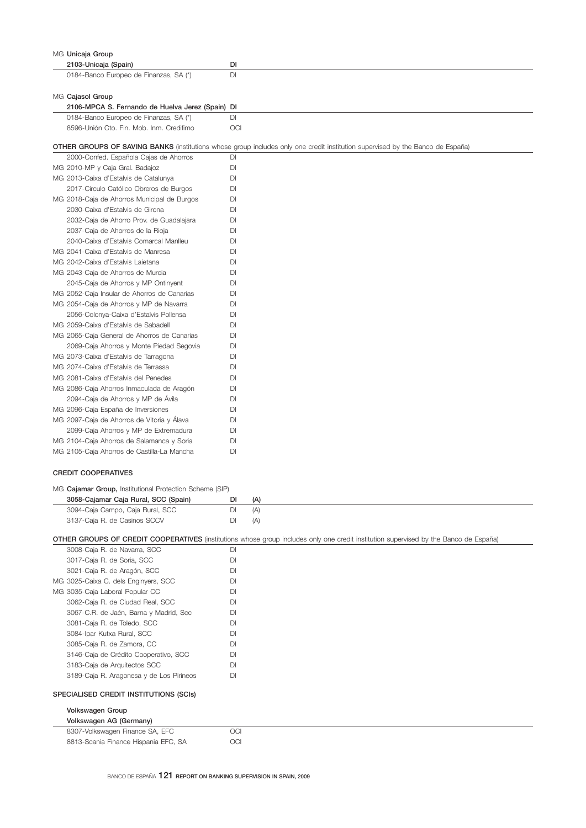| MG Unicaja Group                                 |                                                                                                                                |
|--------------------------------------------------|--------------------------------------------------------------------------------------------------------------------------------|
| 2103-Unicaja (Spain)                             | DI                                                                                                                             |
| 0184-Banco Europeo de Finanzas, SA (*)           | <b>DI</b>                                                                                                                      |
| MG Cajasol Group                                 |                                                                                                                                |
| 2106-MPCA S. Fernando de Huelva Jerez (Spain) DI |                                                                                                                                |
| 0184-Banco Europeo de Finanzas, SA (*)           | DI                                                                                                                             |
| 8596-Unión Cto. Fin. Mob. Inm. Credifimo         | OCI                                                                                                                            |
|                                                  | OTHER GROUPS OF SAVING BANKS (institutions whose group includes only one credit institution supervised by the Banco de España) |
| 2000-Confed. Española Cajas de Ahorros           | DI                                                                                                                             |
| MG 2010-MP y Caja Gral. Badajoz                  | DI                                                                                                                             |
| MG 2013-Caixa d'Estalvis de Catalunya            | DI                                                                                                                             |
| 2017-Círculo Católico Obreros de Burgos          | <b>DI</b>                                                                                                                      |
| MG 2018-Caja de Ahorros Municipal de Burgos      | DI                                                                                                                             |
| 2030-Caixa d'Estalvis de Girona                  | DI                                                                                                                             |
| 2032-Caja de Ahorro Prov. de Guadalajara         | DI                                                                                                                             |
| 2037-Caja de Ahorros de la Rioja                 | <b>DI</b>                                                                                                                      |
| 2040-Caixa d'Estalvis Comarcal Manlleu           | DI                                                                                                                             |
| MG 2041-Caixa d'Estalvis de Manresa              | DI                                                                                                                             |
| MG 2042-Caixa d'Estalvis Laietana                | DI                                                                                                                             |
| MG 2043-Caja de Ahorros de Murcia                | DI                                                                                                                             |
| 2045-Caja de Ahorros y MP Ontinyent              | DI                                                                                                                             |
| MG 2052-Caja Insular de Ahorros de Canarias      | DI                                                                                                                             |
| MG 2054-Caja de Ahorros y MP de Navarra          | DI                                                                                                                             |
| 2056-Colonya-Caixa d'Estalvis Pollensa           | DI                                                                                                                             |
| MG 2059-Caixa d'Estalvis de Sabadell             | DI                                                                                                                             |
| MG 2065-Caia General de Ahorros de Canarias      | DI                                                                                                                             |
| 2069-Caja Ahorros y Monte Piedad Segovia         | DI                                                                                                                             |
| MG 2073-Caixa d'Estalvis de Tarragona            | DI                                                                                                                             |
| MG 2074-Caixa d'Estalvis de Terrassa             | DI                                                                                                                             |
| MG 2081-Caixa d'Estalvis del Penedes             | DI                                                                                                                             |
| MG 2086-Caja Ahorros Inmaculada de Aragón        | DI                                                                                                                             |
| 2094-Caja de Ahorros y MP de Ávila               | DI                                                                                                                             |
| MG 2096-Caja España de Inversiones               | DI                                                                                                                             |
| MG 2097-Caja de Ahorros de Vitoria y Alava       | DI                                                                                                                             |
| 2099-Caja Ahorros y MP de Extremadura            | DI                                                                                                                             |
| MG 2104-Caja Ahorros de Salamanca y Soria        | DI                                                                                                                             |
| MG 2105-Caja Ahorros de Castilla-La Mancha       | DI                                                                                                                             |
|                                                  |                                                                                                                                |

| MG Cajamar Group, Institutional Protection Scheme (SIP) |                                      |     |     |  |  |  |
|---------------------------------------------------------|--------------------------------------|-----|-----|--|--|--|
|                                                         | 3058-Cajamar Caja Rural, SCC (Spain) | DI  | (A) |  |  |  |
|                                                         | 3094-Caja Campo, Caja Rural, SCC     | DI. | (A) |  |  |  |
|                                                         | 3137-Caja R. de Casinos SCCV         | DI. | (A) |  |  |  |

## OTHER GROUPS OF CREDIT COOPERATIVES (institutions whose group includes only one credit institution supervised by the Banco de España)

| 3008-Caja R. de Navarra, SCC             | <b>DI</b>  |
|------------------------------------------|------------|
| 3017-Caja R. de Soria, SCC               | DI         |
| 3021-Caja R. de Aragón, SCC              | <b>DI</b>  |
| MG 3025-Caixa C. dels Enginyers, SCC     | <b>DI</b>  |
| MG 3035-Caja Laboral Popular CC          | <b>DI</b>  |
| 3062-Caja R. de Ciudad Real, SCC         | <b>DI</b>  |
| 3067-C.R. de Jaén, Barna y Madrid, Scc   | <b>DI</b>  |
| 3081-Caja R. de Toledo, SCC              | DI         |
| 3084-Ipar Kutxa Rural, SCC               | <b>DI</b>  |
| 3085-Caja R. de Zamora, CC               | <b>DI</b>  |
| 3146-Caja de Crédito Cooperativo, SCC    | <b>DI</b>  |
| 3183-Caja de Arquitectos SCC             | <b>DI</b>  |
| 3189-Caja R. Aragonesa y de Los Pirineos | DI         |
| SPECIALISED CREDIT INSTITUTIONS (SCIS)   |            |
| Volkswagen Group                         |            |
| Volkswagen AG (Germany)                  |            |
| 8307-Volkswagen Finance SA, EFC          | <b>OCI</b> |
| 8813-Scania Finance Hispania EFC, SA     | OCI        |
|                                          |            |